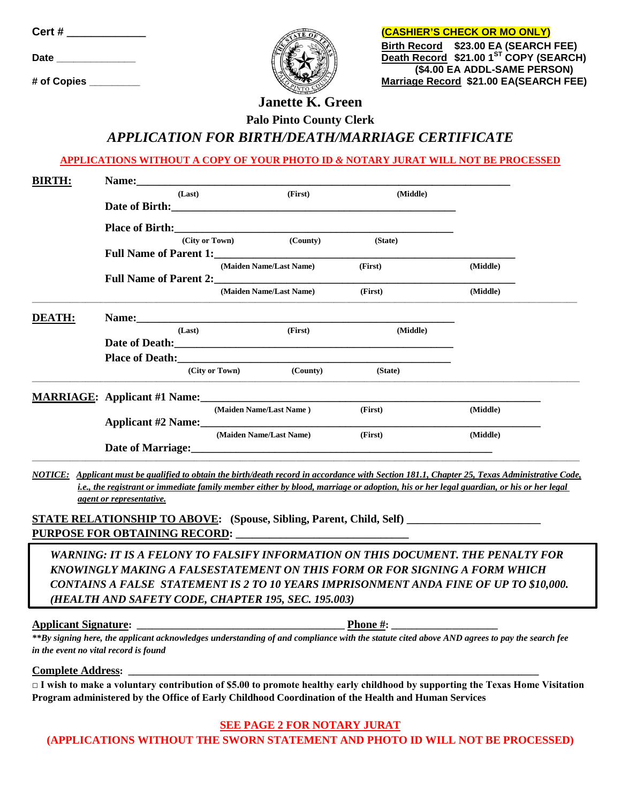| Cert #      |  |
|-------------|--|
| <b>Date</b> |  |
| # of Conies |  |



**(CASHIER'S CHECK OR MO ONLY) Birth Record \$23.00 EA (SEARCH FEE) Date \_\_\_\_\_\_\_\_\_\_\_\_\_\_ Death Record \$21.00 1ST COPY (SEARCH) (\$4.00 EA ADDL-SAME PERSON) Marriage Record \$21.00 EA(SEARCH FEE)** 

## **Janette K. Green Palo Pinto County Clerk** *APPLICATION FOR BIRTH/DEATH/MARRIAGE CERTIFICATE*

**APPLICATIONS WITHOUT A COPY OF YOUR PHOTO ID** *&* **NOTARY JURAT WILL NOT BE PROCESSED**

| (Last) | (First)  | (Middle)                                                                               |                                                                                                                                                                                                                      |                                                                                                                                                                                                                                                             |  |  |
|--------|----------|----------------------------------------------------------------------------------------|----------------------------------------------------------------------------------------------------------------------------------------------------------------------------------------------------------------------|-------------------------------------------------------------------------------------------------------------------------------------------------------------------------------------------------------------------------------------------------------------|--|--|
|        |          |                                                                                        |                                                                                                                                                                                                                      |                                                                                                                                                                                                                                                             |  |  |
|        |          |                                                                                        |                                                                                                                                                                                                                      |                                                                                                                                                                                                                                                             |  |  |
|        | (County) | (State)                                                                                |                                                                                                                                                                                                                      |                                                                                                                                                                                                                                                             |  |  |
|        |          |                                                                                        |                                                                                                                                                                                                                      |                                                                                                                                                                                                                                                             |  |  |
|        |          |                                                                                        | (Middle)                                                                                                                                                                                                             |                                                                                                                                                                                                                                                             |  |  |
|        |          | (First)                                                                                |                                                                                                                                                                                                                      |                                                                                                                                                                                                                                                             |  |  |
|        |          |                                                                                        |                                                                                                                                                                                                                      |                                                                                                                                                                                                                                                             |  |  |
| (Last) | (First)  | (Middle)                                                                               |                                                                                                                                                                                                                      |                                                                                                                                                                                                                                                             |  |  |
|        |          |                                                                                        |                                                                                                                                                                                                                      |                                                                                                                                                                                                                                                             |  |  |
|        |          |                                                                                        |                                                                                                                                                                                                                      |                                                                                                                                                                                                                                                             |  |  |
|        | (County) | (State)                                                                                |                                                                                                                                                                                                                      |                                                                                                                                                                                                                                                             |  |  |
|        |          |                                                                                        |                                                                                                                                                                                                                      |                                                                                                                                                                                                                                                             |  |  |
|        |          | (First)                                                                                | (Middle)                                                                                                                                                                                                             |                                                                                                                                                                                                                                                             |  |  |
|        |          |                                                                                        |                                                                                                                                                                                                                      |                                                                                                                                                                                                                                                             |  |  |
|        |          |                                                                                        |                                                                                                                                                                                                                      |                                                                                                                                                                                                                                                             |  |  |
|        |          | (City or Town)<br>(City or Town)<br>(Maiden Name/Last Name)<br>(Maiden Name/Last Name) | (First)<br>(Maiden Name/Last Name)<br>Full Name of Parent 2:<br>(Maiden Name/Last Name)<br>Name: 2008. 2008. 2010. 2010. 2010. 2010. 2010. 2010. 2010. 2010. 2010. 2010. 2010. 2010. 2010. 2010. 2010. 20<br>(First) | <b>Full Name of Parent 1:</b> The second second second second second second second second second second second second second second second second second second second second second second second second second second second seco<br>(Middle)<br>(Middle) |  |  |

*NOTICE: Applicant must be qualified to obtain the birth/death record in accordance with Section 181.1, Chapter 25, Texas Administrative Code, i.e., the registrant or immediate family member either by blood, marriage or adoption, his or her legal guardian, or his or her legal agent or representative.*

STATE RELATIONSHIP TO ABOVE: (Spouse, Sibling, Parent, Child, Self) PURPOSE FOR OBTAINING RECORD:

*WARNING: IT IS A FELONY TO FALSIFY INFORMATION ON THIS DOCUMENT. THE PENALTY FOR KNOWINGLY MAKING A FALSESTATEMENT ON THIS FORM OR FOR SIGNING A FORM WHICH CONTAINS A FALSE STATEMENT IS 2 TO 10 YEARS IMPRISONMENT ANDA FINE OF UP TO \$10,000. (HEALTH AND SAFETY CODE, CHAPTER 195, SEC. 195.003)*

**Applicant Signature: \_\_\_\_\_\_\_\_\_\_\_\_\_\_\_\_\_\_\_\_\_\_\_\_\_\_\_\_\_\_\_\_\_\_\_\_\_\_\_\_\_ Phone #: \_\_\_\_\_\_\_\_\_\_\_\_\_\_\_\_\_\_\_\_\_**

*\*\*By signing here, the applicant acknowledges understanding of and compliance with the statute cited above AND agrees to pay the search fee in the event no vital record is found*

 $$ 

**□ I wish to make a voluntary contribution of \$5.00 to promote healthy early childhood by supporting the Texas Home Visitation Program administered by the Office of Early Childhood Coordination of the Health and Human Services**

## **SEE PAGE 2 FOR NOTARY JURAT**

**(APPLICATIONS WITHOUT THE SWORN STATEMENT AND PHOTO ID WILL NOT BE PROCESSED)**